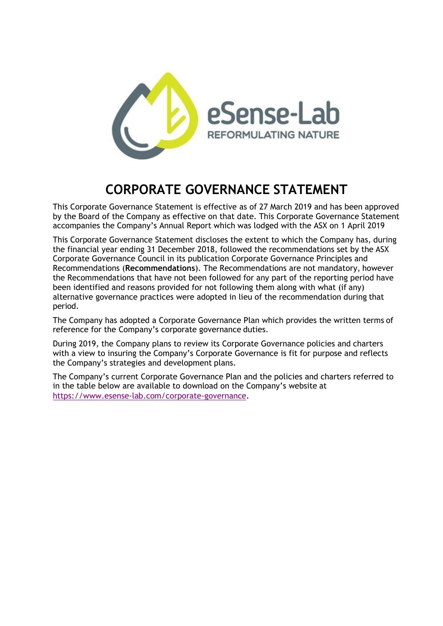

## **CORPORATE GOVERNANCE STATEMENT**

This Corporate Governance Statement is effective as of 27 March 2019 and has been approved by the Board of the Company as effective on that date. This Corporate Governance Statement accompanies the Company's Annual Report which was lodged with the ASX on 1 April 2019

This Corporate Governance Statement discloses the extent to which the Company has, during the financial year ending 31 December 2018, followed the recommendations set by the ASX Corporate Governance Council in its publication Corporate Governance Principles and Recommendations (**Recommendations**). The Recommendations are not mandatory, however the Recommendations that have not been followed for any part of the reporting period have been identified and reasons provided for not following them along with what (if any) alternative governance practices were adopted in lieu of the recommendation during that period.

The Company has adopted a Corporate Governance Plan which provides the written terms of reference for the Company's corporate governance duties.

During 2019, the Company plans to review its Corporate Governance policies and charters with a view to insuring the Company's Corporate Governance is fit for purpose and reflects the Company's strategies and development plans.

The Company's current Corporate Governance Plan and the policies and charters referred to in the table below are available to download on the Company's website at [https://www.esense-lab.com/corporate-governance.](http://https/www.esense-lab.com/corporate-governance)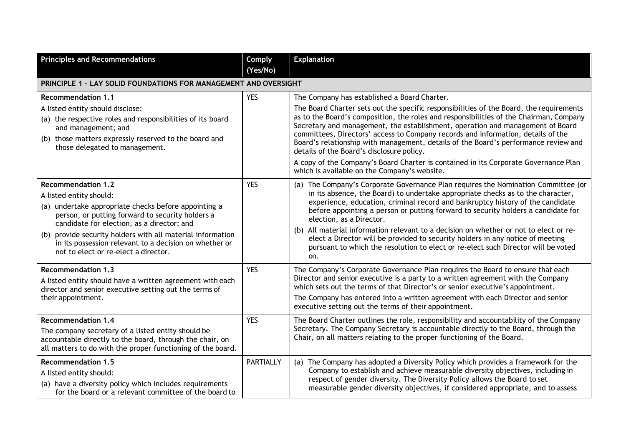| <b>Principles and Recommendations</b>                                                                                                                                                                                                                                                                                                                                          | <b>Comply</b><br>(Yes/No) | <b>Explanation</b>                                                                                                                                                                                                                                                                                                                                                                                                                                                                                                                                                                                                                                                                 |
|--------------------------------------------------------------------------------------------------------------------------------------------------------------------------------------------------------------------------------------------------------------------------------------------------------------------------------------------------------------------------------|---------------------------|------------------------------------------------------------------------------------------------------------------------------------------------------------------------------------------------------------------------------------------------------------------------------------------------------------------------------------------------------------------------------------------------------------------------------------------------------------------------------------------------------------------------------------------------------------------------------------------------------------------------------------------------------------------------------------|
| PRINCIPLE 1 - LAY SOLID FOUNDATIONS FOR MANAGEMENT AND OVERSIGHT                                                                                                                                                                                                                                                                                                               |                           |                                                                                                                                                                                                                                                                                                                                                                                                                                                                                                                                                                                                                                                                                    |
| <b>Recommendation 1.1</b><br>A listed entity should disclose:<br>(a) the respective roles and responsibilities of its board<br>and management; and<br>(b) those matters expressly reserved to the board and<br>those delegated to management.                                                                                                                                  | <b>YES</b>                | The Company has established a Board Charter.<br>The Board Charter sets out the specific responsibilities of the Board, the requirements<br>as to the Board's composition, the roles and responsibilities of the Chairman, Company<br>Secretary and management, the establishment, operation and management of Board<br>committees, Directors' access to Company records and information, details of the<br>Board's relationship with management, details of the Board's performance review and<br>details of the Board's disclosure policy.<br>A copy of the Company's Board Charter is contained in its Corporate Governance Plan<br>which is available on the Company's website. |
| <b>Recommendation 1.2</b><br>A listed entity should:<br>(a) undertake appropriate checks before appointing a<br>person, or putting forward to security holders a<br>candidate for election, as a director; and<br>(b) provide security holders with all material information<br>in its possession relevant to a decision on whether or<br>not to elect or re-elect a director. | <b>YES</b>                | (a) The Company's Corporate Governance Plan requires the Nomination Committee (or<br>in its absence, the Board) to undertake appropriate checks as to the character,<br>experience, education, criminal record and bankruptcy history of the candidate<br>before appointing a person or putting forward to security holders a candidate for<br>election, as a Director.<br>(b) All material information relevant to a decision on whether or not to elect or re-<br>elect a Director will be provided to security holders in any notice of meeting<br>pursuant to which the resolution to elect or re-elect such Director will be voted<br>on.                                     |
| <b>Recommendation 1.3</b><br>A listed entity should have a written agreement with each<br>director and senior executive setting out the terms of<br>their appointment.                                                                                                                                                                                                         | <b>YES</b>                | The Company's Corporate Governance Plan requires the Board to ensure that each<br>Director and senior executive is a party to a written agreement with the Company<br>which sets out the terms of that Director's or senior executive's appointment.<br>The Company has entered into a written agreement with each Director and senior<br>executive setting out the terms of their appointment.                                                                                                                                                                                                                                                                                    |
| <b>Recommendation 1.4</b><br>The company secretary of a listed entity should be<br>accountable directly to the board, through the chair, on<br>all matters to do with the proper functioning of the board.                                                                                                                                                                     | <b>YES</b>                | The Board Charter outlines the role, responsibility and accountability of the Company<br>Secretary. The Company Secretary is accountable directly to the Board, through the<br>Chair, on all matters relating to the proper functioning of the Board.                                                                                                                                                                                                                                                                                                                                                                                                                              |
| <b>Recommendation 1.5</b><br>A listed entity should:<br>(a) have a diversity policy which includes requirements<br>for the board or a relevant committee of the board to                                                                                                                                                                                                       | <b>PARTIALLY</b>          | (a) The Company has adopted a Diversity Policy which provides a framework for the<br>Company to establish and achieve measurable diversity objectives, including in<br>respect of gender diversity. The Diversity Policy allows the Board to set<br>measurable gender diversity objectives, if considered appropriate, and to assess                                                                                                                                                                                                                                                                                                                                               |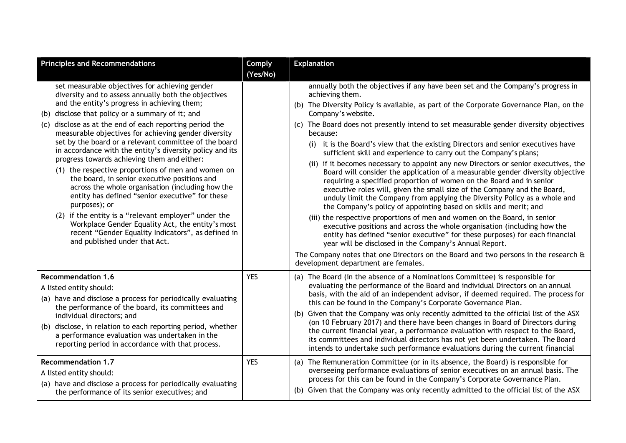| <b>Principles and Recommendations</b>                                                                                                                                                                                                                                                                                                                                                                                                                                                                                                                                                                                                                                                                                                                                                                                                                                                                                              | Comply                   | <b>Explanation</b>                                                                                                                                                                                                                                                                                                                                                                                                                                                                                                                                                                                                                                                                                                                                                                                                                                                                                                                                                                                                                                                                                                                                                                                                                                                                                                                                                                                             |
|------------------------------------------------------------------------------------------------------------------------------------------------------------------------------------------------------------------------------------------------------------------------------------------------------------------------------------------------------------------------------------------------------------------------------------------------------------------------------------------------------------------------------------------------------------------------------------------------------------------------------------------------------------------------------------------------------------------------------------------------------------------------------------------------------------------------------------------------------------------------------------------------------------------------------------|--------------------------|----------------------------------------------------------------------------------------------------------------------------------------------------------------------------------------------------------------------------------------------------------------------------------------------------------------------------------------------------------------------------------------------------------------------------------------------------------------------------------------------------------------------------------------------------------------------------------------------------------------------------------------------------------------------------------------------------------------------------------------------------------------------------------------------------------------------------------------------------------------------------------------------------------------------------------------------------------------------------------------------------------------------------------------------------------------------------------------------------------------------------------------------------------------------------------------------------------------------------------------------------------------------------------------------------------------------------------------------------------------------------------------------------------------|
|                                                                                                                                                                                                                                                                                                                                                                                                                                                                                                                                                                                                                                                                                                                                                                                                                                                                                                                                    | (Yes/No)                 |                                                                                                                                                                                                                                                                                                                                                                                                                                                                                                                                                                                                                                                                                                                                                                                                                                                                                                                                                                                                                                                                                                                                                                                                                                                                                                                                                                                                                |
| set measurable objectives for achieving gender<br>diversity and to assess annually both the objectives<br>and the entity's progress in achieving them;<br>(b) disclose that policy or a summary of it; and<br>(c) disclose as at the end of each reporting period the<br>measurable objectives for achieving gender diversity<br>set by the board or a relevant committee of the board<br>in accordance with the entity's diversity policy and its<br>progress towards achieving them and either:<br>(1) the respective proportions of men and women on<br>the board, in senior executive positions and<br>across the whole organisation (including how the<br>entity has defined "senior executive" for these<br>purposes); or<br>(2) if the entity is a "relevant employer" under the<br>Workplace Gender Equality Act, the entity's most<br>recent "Gender Equality Indicators", as defined in<br>and published under that Act. |                          | annually both the objectives if any have been set and the Company's progress in<br>achieving them.<br>(b) The Diversity Policy is available, as part of the Corporate Governance Plan, on the<br>Company's website.<br>(c) The Board does not presently intend to set measurable gender diversity objectives<br>because:<br>it is the Board's view that the existing Directors and senior executives have<br>(i)<br>sufficient skill and experience to carry out the Company's plans;<br>(ii) if it becomes necessary to appoint any new Directors or senior executives, the<br>Board will consider the application of a measurable gender diversity objective<br>requiring a specified proportion of women on the Board and in senior<br>executive roles will, given the small size of the Company and the Board,<br>unduly limit the Company from applying the Diversity Policy as a whole and<br>the Company's policy of appointing based on skills and merit; and<br>(iii) the respective proportions of men and women on the Board, in senior<br>executive positions and across the whole organisation (including how the<br>entity has defined "senior executive" for these purposes) for each financial<br>year will be disclosed in the Company's Annual Report.<br>The Company notes that one Directors on the Board and two persons in the research $\hat{a}$<br>development department are females. |
| <b>Recommendation 1.6</b><br>A listed entity should:<br>(a) have and disclose a process for periodically evaluating<br>the performance of the board, its committees and<br>individual directors; and<br>(b) disclose, in relation to each reporting period, whether<br>a performance evaluation was undertaken in the<br>reporting period in accordance with that process.<br><b>Recommendation 1.7</b>                                                                                                                                                                                                                                                                                                                                                                                                                                                                                                                            | <b>YES</b><br><b>YES</b> | (a) The Board (in the absence of a Nominations Committee) is responsible for<br>evaluating the performance of the Board and individual Directors on an annual<br>basis, with the aid of an independent advisor, if deemed required. The process for<br>this can be found in the Company's Corporate Governance Plan.<br>(b) Given that the Company was only recently admitted to the official list of the ASX<br>(on 10 February 2017) and there have been changes in Board of Directors during<br>the current financial year, a performance evaluation with respect to the Board,<br>its committees and individual directors has not yet been undertaken. The Board<br>intends to undertake such performance evaluations during the current financial<br>The Remuneration Committee (or in its absence, the Board) is responsible for<br>(a)                                                                                                                                                                                                                                                                                                                                                                                                                                                                                                                                                                  |
| A listed entity should:<br>(a) have and disclose a process for periodically evaluating<br>the performance of its senior executives; and                                                                                                                                                                                                                                                                                                                                                                                                                                                                                                                                                                                                                                                                                                                                                                                            |                          | overseeing performance evaluations of senior executives on an annual basis. The<br>process for this can be found in the Company's Corporate Governance Plan.<br>(b) Given that the Company was only recently admitted to the official list of the ASX                                                                                                                                                                                                                                                                                                                                                                                                                                                                                                                                                                                                                                                                                                                                                                                                                                                                                                                                                                                                                                                                                                                                                          |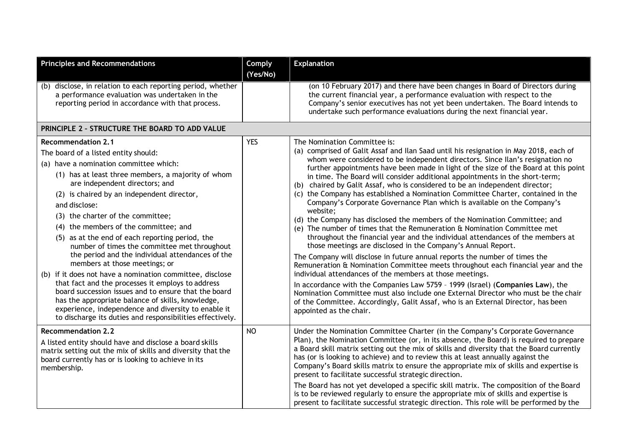| <b>Principles and Recommendations</b>                                                                                                                                                                                                                                                                                                                                                                                                                                                                                                                                                                                                                                                                                                                                                                                                                                                      | Comply<br>(Yes/No) | <b>Explanation</b>                                                                                                                                                                                                                                                                                                                                                                                                                                                                                                                                                                                                                                                                                                                                                                                                                                                                                                                                                                                                                                                                                                                                                                                                                                                                                                                                                                                                                                                        |
|--------------------------------------------------------------------------------------------------------------------------------------------------------------------------------------------------------------------------------------------------------------------------------------------------------------------------------------------------------------------------------------------------------------------------------------------------------------------------------------------------------------------------------------------------------------------------------------------------------------------------------------------------------------------------------------------------------------------------------------------------------------------------------------------------------------------------------------------------------------------------------------------|--------------------|---------------------------------------------------------------------------------------------------------------------------------------------------------------------------------------------------------------------------------------------------------------------------------------------------------------------------------------------------------------------------------------------------------------------------------------------------------------------------------------------------------------------------------------------------------------------------------------------------------------------------------------------------------------------------------------------------------------------------------------------------------------------------------------------------------------------------------------------------------------------------------------------------------------------------------------------------------------------------------------------------------------------------------------------------------------------------------------------------------------------------------------------------------------------------------------------------------------------------------------------------------------------------------------------------------------------------------------------------------------------------------------------------------------------------------------------------------------------------|
| disclose, in relation to each reporting period, whether<br>(b)<br>a performance evaluation was undertaken in the<br>reporting period in accordance with that process.                                                                                                                                                                                                                                                                                                                                                                                                                                                                                                                                                                                                                                                                                                                      |                    | (on 10 February 2017) and there have been changes in Board of Directors during<br>the current financial year, a performance evaluation with respect to the<br>Company's senior executives has not yet been undertaken. The Board intends to<br>undertake such performance evaluations during the next financial year.                                                                                                                                                                                                                                                                                                                                                                                                                                                                                                                                                                                                                                                                                                                                                                                                                                                                                                                                                                                                                                                                                                                                                     |
| PRINCIPLE 2 - STRUCTURE THE BOARD TO ADD VALUE                                                                                                                                                                                                                                                                                                                                                                                                                                                                                                                                                                                                                                                                                                                                                                                                                                             |                    |                                                                                                                                                                                                                                                                                                                                                                                                                                                                                                                                                                                                                                                                                                                                                                                                                                                                                                                                                                                                                                                                                                                                                                                                                                                                                                                                                                                                                                                                           |
| <b>Recommendation 2.1</b><br>The board of a listed entity should:<br>(a) have a nomination committee which:<br>(1) has at least three members, a majority of whom<br>are independent directors; and<br>(2) is chaired by an independent director,<br>and disclose:<br>(3) the charter of the committee;<br>(4) the members of the committee; and<br>(5) as at the end of each reporting period, the<br>number of times the committee met throughout<br>the period and the individual attendances of the<br>members at those meetings; or<br>(b) if it does not have a nomination committee, disclose<br>that fact and the processes it employs to address<br>board succession issues and to ensure that the board<br>has the appropriate balance of skills, knowledge,<br>experience, independence and diversity to enable it<br>to discharge its duties and responsibilities effectively. | <b>YES</b>         | The Nomination Committee is:<br>(a) comprised of Galit Assaf and Ilan Saad until his resignation in May 2018, each of<br>whom were considered to be independent directors. Since Ilan's resignation no<br>further appointments have been made in light of the size of the Board at this point<br>in time. The Board will consider additional appointments in the short-term;<br>(b) chaired by Galit Assaf, who is considered to be an independent director;<br>(c) the Company has established a Nomination Committee Charter, contained in the<br>Company's Corporate Governance Plan which is available on the Company's<br>website;<br>(d) the Company has disclosed the members of the Nomination Committee; and<br>(e) The number of times that the Remuneration & Nomination Committee met<br>throughout the financial year and the individual attendances of the members at<br>those meetings are disclosed in the Company's Annual Report.<br>The Company will disclose in future annual reports the number of times the<br>Remuneration & Nomination Committee meets throughout each financial year and the<br>individual attendances of the members at those meetings.<br>In accordance with the Companies Law 5759 - 1999 (Israel) (Companies Law), the<br>Nomination Committee must also include one External Director who must be the chair<br>of the Committee. Accordingly, Galit Assaf, who is an External Director, has been<br>appointed as the chair. |
| <b>Recommendation 2.2</b><br>A listed entity should have and disclose a board skills<br>matrix setting out the mix of skills and diversity that the<br>board currently has or is looking to achieve in its<br>membership.                                                                                                                                                                                                                                                                                                                                                                                                                                                                                                                                                                                                                                                                  | <b>NO</b>          | Under the Nomination Committee Charter (in the Company's Corporate Governance<br>Plan), the Nomination Committee (or, in its absence, the Board) is required to prepare<br>a Board skill matrix setting out the mix of skills and diversity that the Board currently<br>has (or is looking to achieve) and to review this at least annually against the<br>Company's Board skills matrix to ensure the appropriate mix of skills and expertise is<br>present to facilitate successful strategic direction.<br>The Board has not yet developed a specific skill matrix. The composition of the Board<br>is to be reviewed regularly to ensure the appropriate mix of skills and expertise is<br>present to facilitate successful strategic direction. This role will be performed by the                                                                                                                                                                                                                                                                                                                                                                                                                                                                                                                                                                                                                                                                                   |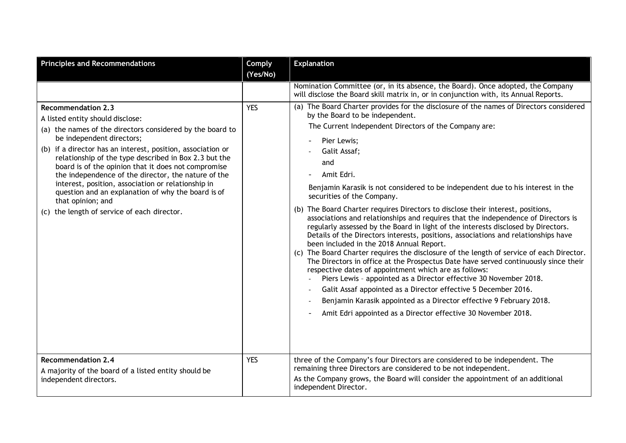| <b>Principles and Recommendations</b>                                                                                                                                                                                                                                                                                                                                                                                                                                                                                                                                         | <b>Comply</b><br>(Yes/No) | <b>Explanation</b>                                                                                                                                                                                                                                                                                                                                                                                                                                                                                                                                                                                                                                                                                                                                                                                                                                                                                                                                                                                                                                                                                                                                                                                                                                                                |
|-------------------------------------------------------------------------------------------------------------------------------------------------------------------------------------------------------------------------------------------------------------------------------------------------------------------------------------------------------------------------------------------------------------------------------------------------------------------------------------------------------------------------------------------------------------------------------|---------------------------|-----------------------------------------------------------------------------------------------------------------------------------------------------------------------------------------------------------------------------------------------------------------------------------------------------------------------------------------------------------------------------------------------------------------------------------------------------------------------------------------------------------------------------------------------------------------------------------------------------------------------------------------------------------------------------------------------------------------------------------------------------------------------------------------------------------------------------------------------------------------------------------------------------------------------------------------------------------------------------------------------------------------------------------------------------------------------------------------------------------------------------------------------------------------------------------------------------------------------------------------------------------------------------------|
|                                                                                                                                                                                                                                                                                                                                                                                                                                                                                                                                                                               |                           | Nomination Committee (or, in its absence, the Board). Once adopted, the Company<br>will disclose the Board skill matrix in, or in conjunction with, its Annual Reports.                                                                                                                                                                                                                                                                                                                                                                                                                                                                                                                                                                                                                                                                                                                                                                                                                                                                                                                                                                                                                                                                                                           |
| <b>Recommendation 2.3</b><br>A listed entity should disclose:<br>(a) the names of the directors considered by the board to<br>be independent directors;<br>(b) if a director has an interest, position, association or<br>relationship of the type described in Box 2.3 but the<br>board is of the opinion that it does not compromise<br>the independence of the director, the nature of the<br>interest, position, association or relationship in<br>question and an explanation of why the board is of<br>that opinion; and<br>(c) the length of service of each director. | <b>YES</b>                | (a) The Board Charter provides for the disclosure of the names of Directors considered<br>by the Board to be independent.<br>The Current Independent Directors of the Company are:<br>Pier Lewis;<br>Galit Assaf;<br>and<br>Amit Edri.<br>Benjamin Karasik is not considered to be independent due to his interest in the<br>securities of the Company.<br>(b) The Board Charter requires Directors to disclose their interest, positions,<br>associations and relationships and requires that the independence of Directors is<br>regularly assessed by the Board in light of the interests disclosed by Directors.<br>Details of the Directors interests, positions, associations and relationships have<br>been included in the 2018 Annual Report.<br>(c) The Board Charter requires the disclosure of the length of service of each Director.<br>The Directors in office at the Prospectus Date have served continuously since their<br>respective dates of appointment which are as follows:<br>Piers Lewis - appointed as a Director effective 30 November 2018.<br>Galit Assaf appointed as a Director effective 5 December 2016.<br>Benjamin Karasik appointed as a Director effective 9 February 2018.<br>Amit Edri appointed as a Director effective 30 November 2018. |
| <b>Recommendation 2.4</b><br>A majority of the board of a listed entity should be<br>independent directors.                                                                                                                                                                                                                                                                                                                                                                                                                                                                   | <b>YES</b>                | three of the Company's four Directors are considered to be independent. The<br>remaining three Directors are considered to be not independent.<br>As the Company grows, the Board will consider the appointment of an additional<br>independent Director.                                                                                                                                                                                                                                                                                                                                                                                                                                                                                                                                                                                                                                                                                                                                                                                                                                                                                                                                                                                                                         |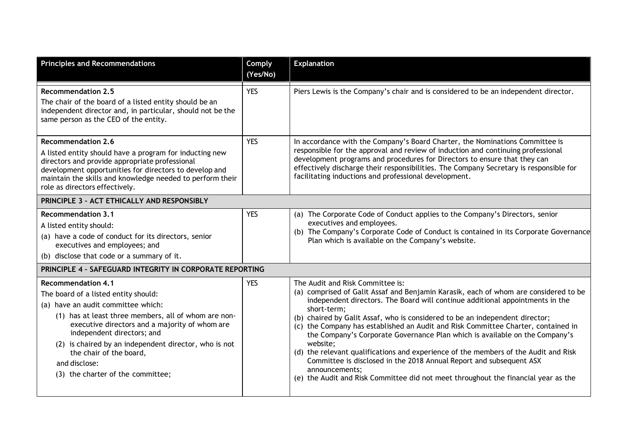| <b>Principles and Recommendations</b>                                                                                                                                                                                                                                                                                                                                                     | Comply<br>(Yes/No) | <b>Explanation</b>                                                                                                                                                                                                                                                                                                                                                                                                                                                                                                                                                                                                                                                                                                                                             |  |
|-------------------------------------------------------------------------------------------------------------------------------------------------------------------------------------------------------------------------------------------------------------------------------------------------------------------------------------------------------------------------------------------|--------------------|----------------------------------------------------------------------------------------------------------------------------------------------------------------------------------------------------------------------------------------------------------------------------------------------------------------------------------------------------------------------------------------------------------------------------------------------------------------------------------------------------------------------------------------------------------------------------------------------------------------------------------------------------------------------------------------------------------------------------------------------------------------|--|
| <b>Recommendation 2.5</b><br>The chair of the board of a listed entity should be an<br>independent director and, in particular, should not be the<br>same person as the CEO of the entity.                                                                                                                                                                                                | <b>YES</b>         | Piers Lewis is the Company's chair and is considered to be an independent director.                                                                                                                                                                                                                                                                                                                                                                                                                                                                                                                                                                                                                                                                            |  |
| <b>Recommendation 2.6</b><br>A listed entity should have a program for inducting new<br>directors and provide appropriate professional<br>development opportunities for directors to develop and<br>maintain the skills and knowledge needed to perform their<br>role as directors effectively.                                                                                           | <b>YES</b>         | In accordance with the Company's Board Charter, the Nominations Committee is<br>responsible for the approval and review of induction and continuing professional<br>development programs and procedures for Directors to ensure that they can<br>effectively discharge their responsibilities. The Company Secretary is responsible for<br>facilitating inductions and professional development.                                                                                                                                                                                                                                                                                                                                                               |  |
| PRINCIPLE 3 - ACT ETHICALLY AND RESPONSIBLY                                                                                                                                                                                                                                                                                                                                               |                    |                                                                                                                                                                                                                                                                                                                                                                                                                                                                                                                                                                                                                                                                                                                                                                |  |
| <b>Recommendation 3.1</b><br>A listed entity should:<br>(a) have a code of conduct for its directors, senior<br>executives and employees; and<br>(b) disclose that code or a summary of it.                                                                                                                                                                                               | <b>YES</b>         | (a) The Corporate Code of Conduct applies to the Company's Directors, senior<br>executives and employees.<br>(b) The Company's Corporate Code of Conduct is contained in its Corporate Governance<br>Plan which is available on the Company's website.                                                                                                                                                                                                                                                                                                                                                                                                                                                                                                         |  |
| PRINCIPLE 4 - SAFEGUARD INTEGRITY IN CORPORATE REPORTING                                                                                                                                                                                                                                                                                                                                  |                    |                                                                                                                                                                                                                                                                                                                                                                                                                                                                                                                                                                                                                                                                                                                                                                |  |
| <b>Recommendation 4.1</b><br>The board of a listed entity should:<br>(a) have an audit committee which:<br>(1) has at least three members, all of whom are non-<br>executive directors and a majority of whom are<br>independent directors; and<br>(2) is chaired by an independent director, who is not<br>the chair of the board,<br>and disclose:<br>(3) the charter of the committee; | <b>YES</b>         | The Audit and Risk Committee is:<br>(a) comprised of Galit Assaf and Benjamin Karasik, each of whom are considered to be<br>independent directors. The Board will continue additional appointments in the<br>short-term;<br>(b) chaired by Galit Assaf, who is considered to be an independent director;<br>(c) the Company has established an Audit and Risk Committee Charter, contained in<br>the Company's Corporate Governance Plan which is available on the Company's<br>website;<br>(d) the relevant qualifications and experience of the members of the Audit and Risk<br>Committee is disclosed in the 2018 Annual Report and subsequent ASX<br>announcements;<br>(e) the Audit and Risk Committee did not meet throughout the financial year as the |  |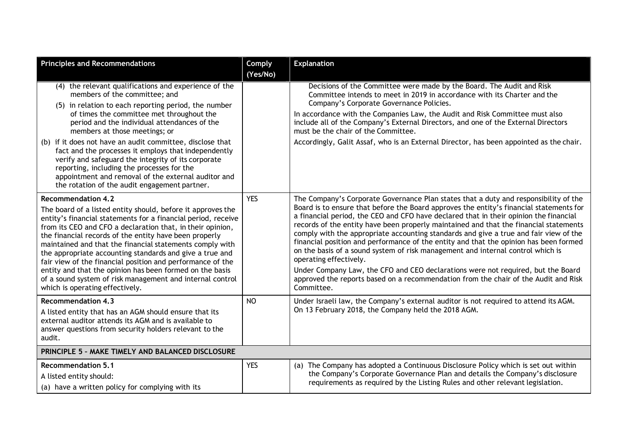| <b>Principles and Recommendations</b>                                                                                                                                                                                                                                                                                                                                                                                                                                                                                                                                                                                               | <b>Comply</b><br>(Yes/No) | <b>Explanation</b>                                                                                                                                                                                                                                                                                                                                                                                                                                                                                                                                                                                                                                                                                                                                                                                                                                        |
|-------------------------------------------------------------------------------------------------------------------------------------------------------------------------------------------------------------------------------------------------------------------------------------------------------------------------------------------------------------------------------------------------------------------------------------------------------------------------------------------------------------------------------------------------------------------------------------------------------------------------------------|---------------------------|-----------------------------------------------------------------------------------------------------------------------------------------------------------------------------------------------------------------------------------------------------------------------------------------------------------------------------------------------------------------------------------------------------------------------------------------------------------------------------------------------------------------------------------------------------------------------------------------------------------------------------------------------------------------------------------------------------------------------------------------------------------------------------------------------------------------------------------------------------------|
| (4) the relevant qualifications and experience of the<br>members of the committee; and<br>(5) in relation to each reporting period, the number<br>of times the committee met throughout the<br>period and the individual attendances of the<br>members at those meetings; or<br>(b) if it does not have an audit committee, disclose that<br>fact and the processes it employs that independently<br>verify and safeguard the integrity of its corporate<br>reporting, including the processes for the<br>appointment and removal of the external auditor and<br>the rotation of the audit engagement partner.                      |                           | Decisions of the Committee were made by the Board. The Audit and Risk<br>Committee intends to meet in 2019 in accordance with its Charter and the<br>Company's Corporate Governance Policies.<br>In accordance with the Companies Law, the Audit and Risk Committee must also<br>include all of the Company's External Directors, and one of the External Directors<br>must be the chair of the Committee.<br>Accordingly, Galit Assaf, who is an External Director, has been appointed as the chair.                                                                                                                                                                                                                                                                                                                                                     |
| <b>Recommendation 4.2</b><br>The board of a listed entity should, before it approves the<br>entity's financial statements for a financial period, receive<br>from its CEO and CFO a declaration that, in their opinion,<br>the financial records of the entity have been properly<br>maintained and that the financial statements comply with<br>the appropriate accounting standards and give a true and<br>fair view of the financial position and performance of the<br>entity and that the opinion has been formed on the basis<br>of a sound system of risk management and internal control<br>which is operating effectively. | <b>YES</b>                | The Company's Corporate Governance Plan states that a duty and responsibility of the<br>Board is to ensure that before the Board approves the entity's financial statements for<br>a financial period, the CEO and CFO have declared that in their opinion the financial<br>records of the entity have been properly maintained and that the financial statements<br>comply with the appropriate accounting standards and give a true and fair view of the<br>financial position and performance of the entity and that the opinion has been formed<br>on the basis of a sound system of risk management and internal control which is<br>operating effectively.<br>Under Company Law, the CFO and CEO declarations were not required, but the Board<br>approved the reports based on a recommendation from the chair of the Audit and Risk<br>Committee. |
| <b>Recommendation 4.3</b><br>A listed entity that has an AGM should ensure that its<br>external auditor attends its AGM and is available to<br>answer questions from security holders relevant to the<br>audit.                                                                                                                                                                                                                                                                                                                                                                                                                     | <b>NO</b>                 | Under Israeli law, the Company's external auditor is not required to attend its AGM.<br>On 13 February 2018, the Company held the 2018 AGM.                                                                                                                                                                                                                                                                                                                                                                                                                                                                                                                                                                                                                                                                                                               |
| PRINCIPLE 5 - MAKE TIMELY AND BALANCED DISCLOSURE                                                                                                                                                                                                                                                                                                                                                                                                                                                                                                                                                                                   |                           |                                                                                                                                                                                                                                                                                                                                                                                                                                                                                                                                                                                                                                                                                                                                                                                                                                                           |
| <b>Recommendation 5.1</b><br>A listed entity should:<br>(a) have a written policy for complying with its                                                                                                                                                                                                                                                                                                                                                                                                                                                                                                                            | <b>YES</b>                | (a) The Company has adopted a Continuous Disclosure Policy which is set out within<br>the Company's Corporate Governance Plan and details the Company's disclosure<br>requirements as required by the Listing Rules and other relevant legislation.                                                                                                                                                                                                                                                                                                                                                                                                                                                                                                                                                                                                       |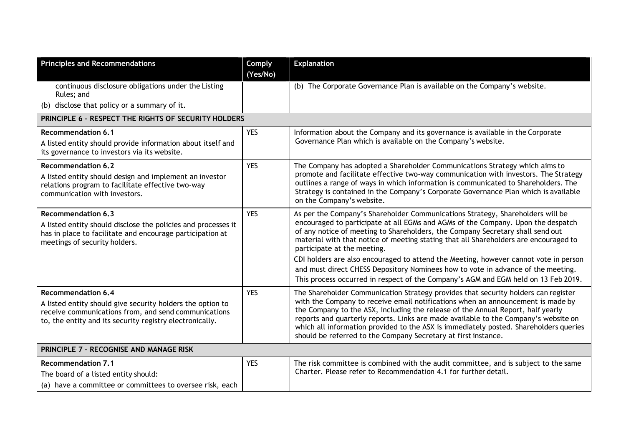| <b>Principles and Recommendations</b>                                                                                                                                                                       | <b>Comply</b><br>(Yes/No) | <b>Explanation</b>                                                                                                                                                                                                                                                                                                                                                                                                                                                                                                                                                                                                                            |
|-------------------------------------------------------------------------------------------------------------------------------------------------------------------------------------------------------------|---------------------------|-----------------------------------------------------------------------------------------------------------------------------------------------------------------------------------------------------------------------------------------------------------------------------------------------------------------------------------------------------------------------------------------------------------------------------------------------------------------------------------------------------------------------------------------------------------------------------------------------------------------------------------------------|
| continuous disclosure obligations under the Listing<br>Rules; and                                                                                                                                           |                           | (b) The Corporate Governance Plan is available on the Company's website.                                                                                                                                                                                                                                                                                                                                                                                                                                                                                                                                                                      |
| (b) disclose that policy or a summary of it.                                                                                                                                                                |                           |                                                                                                                                                                                                                                                                                                                                                                                                                                                                                                                                                                                                                                               |
| PRINCIPLE 6 - RESPECT THE RIGHTS OF SECURITY HOLDERS                                                                                                                                                        |                           |                                                                                                                                                                                                                                                                                                                                                                                                                                                                                                                                                                                                                                               |
| <b>Recommendation 6.1</b><br>A listed entity should provide information about itself and<br>its governance to investors via its website.                                                                    | <b>YES</b>                | Information about the Company and its governance is available in the Corporate<br>Governance Plan which is available on the Company's website.                                                                                                                                                                                                                                                                                                                                                                                                                                                                                                |
| <b>Recommendation 6.2</b><br>A listed entity should design and implement an investor<br>relations program to facilitate effective two-way<br>communication with investors.                                  | <b>YES</b>                | The Company has adopted a Shareholder Communications Strategy which aims to<br>promote and facilitate effective two-way communication with investors. The Strategy<br>outlines a range of ways in which information is communicated to Shareholders. The<br>Strategy is contained in the Company's Corporate Governance Plan which is available<br>on the Company's website.                                                                                                                                                                                                                                                                  |
| <b>Recommendation 6.3</b><br>A listed entity should disclose the policies and processes it<br>has in place to facilitate and encourage participation at<br>meetings of security holders.                    | <b>YES</b>                | As per the Company's Shareholder Communications Strategy, Shareholders will be<br>encouraged to participate at all EGMs and AGMs of the Company. Upon the despatch<br>of any notice of meeting to Shareholders, the Company Secretary shall send out<br>material with that notice of meeting stating that all Shareholders are encouraged to<br>participate at the meeting.<br>CDI holders are also encouraged to attend the Meeting, however cannot vote in person<br>and must direct CHESS Depository Nominees how to vote in advance of the meeting.<br>This process occurred in respect of the Company's AGM and EGM held on 13 Feb 2019. |
| <b>Recommendation 6.4</b><br>A listed entity should give security holders the option to<br>receive communications from, and send communications<br>to, the entity and its security registry electronically. | <b>YES</b>                | The Shareholder Communication Strategy provides that security holders can register<br>with the Company to receive email notifications when an announcement is made by<br>the Company to the ASX, including the release of the Annual Report, half yearly<br>reports and quarterly reports. Links are made available to the Company's website on<br>which all information provided to the ASX is immediately posted. Shareholders queries<br>should be referred to the Company Secretary at first instance.                                                                                                                                    |
| PRINCIPLE 7 - RECOGNISE AND MANAGE RISK                                                                                                                                                                     |                           |                                                                                                                                                                                                                                                                                                                                                                                                                                                                                                                                                                                                                                               |
| <b>Recommendation 7.1</b><br>The board of a listed entity should:<br>(a) have a committee or committees to oversee risk, each                                                                               | <b>YES</b>                | The risk committee is combined with the audit committee, and is subject to the same<br>Charter. Please refer to Recommendation 4.1 for further detail.                                                                                                                                                                                                                                                                                                                                                                                                                                                                                        |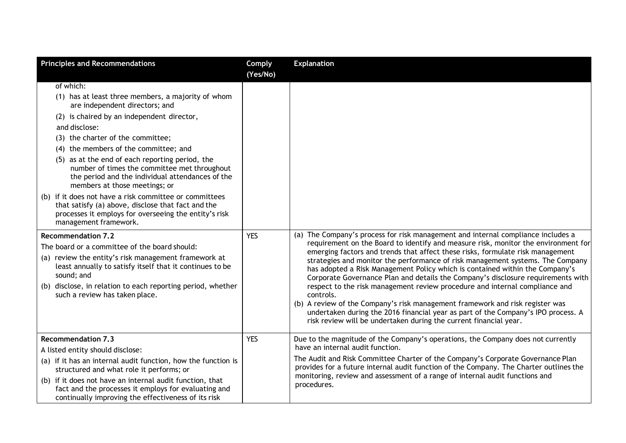| <b>Principles and Recommendations</b>                                                                                                                                                                                                                                                                                                                                                                                                                                                                                                                                                                                                    | Comply<br>(Yes/No) | <b>Explanation</b>                                                                                                                                                                                                                                                                                                                                                                                                                                                                                                                                                                                                                                                                                                                                                                                                                                    |
|------------------------------------------------------------------------------------------------------------------------------------------------------------------------------------------------------------------------------------------------------------------------------------------------------------------------------------------------------------------------------------------------------------------------------------------------------------------------------------------------------------------------------------------------------------------------------------------------------------------------------------------|--------------------|-------------------------------------------------------------------------------------------------------------------------------------------------------------------------------------------------------------------------------------------------------------------------------------------------------------------------------------------------------------------------------------------------------------------------------------------------------------------------------------------------------------------------------------------------------------------------------------------------------------------------------------------------------------------------------------------------------------------------------------------------------------------------------------------------------------------------------------------------------|
| of which:<br>(1) has at least three members, a majority of whom<br>are independent directors; and<br>(2) is chaired by an independent director,<br>and disclose:<br>(3) the charter of the committee;<br>(4) the members of the committee; and<br>(5) as at the end of each reporting period, the<br>number of times the committee met throughout<br>the period and the individual attendances of the<br>members at those meetings; or<br>(b) if it does not have a risk committee or committees<br>that satisfy (a) above, disclose that fact and the<br>processes it employs for overseeing the entity's risk<br>management framework. |                    |                                                                                                                                                                                                                                                                                                                                                                                                                                                                                                                                                                                                                                                                                                                                                                                                                                                       |
| <b>Recommendation 7.2</b><br>The board or a committee of the board should:<br>(a) review the entity's risk management framework at<br>least annually to satisfy itself that it continues to be<br>sound; and<br>(b) disclose, in relation to each reporting period, whether<br>such a review has taken place.                                                                                                                                                                                                                                                                                                                            | <b>YES</b>         | (a) The Company's process for risk management and internal compliance includes a<br>requirement on the Board to identify and measure risk, monitor the environment for<br>emerging factors and trends that affect these risks, formulate risk management<br>strategies and monitor the performance of risk management systems. The Company<br>has adopted a Risk Management Policy which is contained within the Company's<br>Corporate Governance Plan and details the Company's disclosure requirements with<br>respect to the risk management review procedure and internal compliance and<br>controls.<br>(b) A review of the Company's risk management framework and risk register was<br>undertaken during the 2016 financial year as part of the Company's IPO process. A<br>risk review will be undertaken during the current financial year. |
| <b>Recommendation 7.3</b><br>A listed entity should disclose:<br>(a) if it has an internal audit function, how the function is<br>structured and what role it performs; or<br>(b) if it does not have an internal audit function, that<br>fact and the processes it employs for evaluating and<br>continually improving the effectiveness of its risk                                                                                                                                                                                                                                                                                    | <b>YES</b>         | Due to the magnitude of the Company's operations, the Company does not currently<br>have an internal audit function.<br>The Audit and Risk Committee Charter of the Company's Corporate Governance Plan<br>provides for a future internal audit function of the Company. The Charter outlines the<br>monitoring, review and assessment of a range of internal audit functions and<br>procedures.                                                                                                                                                                                                                                                                                                                                                                                                                                                      |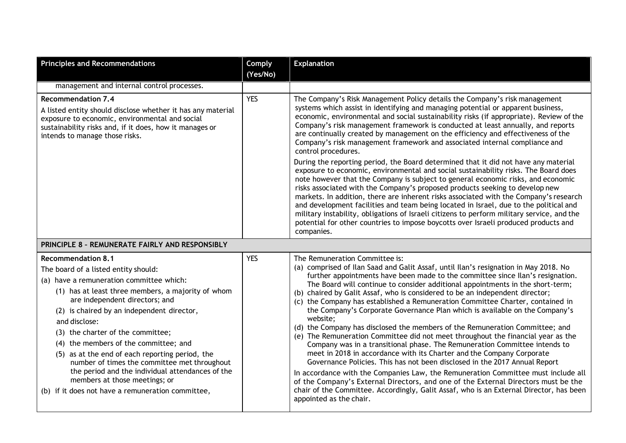| <b>Principles and Recommendations</b>                                                                                                                                                                                                                                                                                                                                                                                                                                                                                                                                                           | Comply<br>(Yes/No) | <b>Explanation</b>                                                                                                                                                                                                                                                                                                                                                                                                                                                                                                                                                                                                                                                                                                                                                                                                                                                                                                                                                                                                                                                                                                                                                                                                                                                |
|-------------------------------------------------------------------------------------------------------------------------------------------------------------------------------------------------------------------------------------------------------------------------------------------------------------------------------------------------------------------------------------------------------------------------------------------------------------------------------------------------------------------------------------------------------------------------------------------------|--------------------|-------------------------------------------------------------------------------------------------------------------------------------------------------------------------------------------------------------------------------------------------------------------------------------------------------------------------------------------------------------------------------------------------------------------------------------------------------------------------------------------------------------------------------------------------------------------------------------------------------------------------------------------------------------------------------------------------------------------------------------------------------------------------------------------------------------------------------------------------------------------------------------------------------------------------------------------------------------------------------------------------------------------------------------------------------------------------------------------------------------------------------------------------------------------------------------------------------------------------------------------------------------------|
| management and internal control processes.                                                                                                                                                                                                                                                                                                                                                                                                                                                                                                                                                      |                    |                                                                                                                                                                                                                                                                                                                                                                                                                                                                                                                                                                                                                                                                                                                                                                                                                                                                                                                                                                                                                                                                                                                                                                                                                                                                   |
| <b>Recommendation 7.4</b><br>A listed entity should disclose whether it has any material<br>exposure to economic, environmental and social<br>sustainability risks and, if it does, how it manages or<br>intends to manage those risks.                                                                                                                                                                                                                                                                                                                                                         | <b>YES</b>         | The Company's Risk Management Policy details the Company's risk management<br>systems which assist in identifying and managing potential or apparent business,<br>economic, environmental and social sustainability risks (if appropriate). Review of the<br>Company's risk management framework is conducted at least annually, and reports<br>are continually created by management on the efficiency and effectiveness of the<br>Company's risk management framework and associated internal compliance and<br>control procedures.                                                                                                                                                                                                                                                                                                                                                                                                                                                                                                                                                                                                                                                                                                                             |
|                                                                                                                                                                                                                                                                                                                                                                                                                                                                                                                                                                                                 |                    | During the reporting period, the Board determined that it did not have any material<br>exposure to economic, environmental and social sustainability risks. The Board does<br>note however that the Company is subject to general economic risks, and economic<br>risks associated with the Company's proposed products seeking to develop new<br>markets. In addition, there are inherent risks associated with the Company's research<br>and development facilities and team being located in Israel, due to the political and<br>military instability, obligations of Israeli citizens to perform military service, and the<br>potential for other countries to impose boycotts over Israeli produced products and<br>companies.                                                                                                                                                                                                                                                                                                                                                                                                                                                                                                                               |
| PRINCIPLE 8 - REMUNERATE FAIRLY AND RESPONSIBLY                                                                                                                                                                                                                                                                                                                                                                                                                                                                                                                                                 |                    |                                                                                                                                                                                                                                                                                                                                                                                                                                                                                                                                                                                                                                                                                                                                                                                                                                                                                                                                                                                                                                                                                                                                                                                                                                                                   |
| <b>Recommendation 8.1</b><br>The board of a listed entity should:<br>(a) have a remuneration committee which:<br>(1) has at least three members, a majority of whom<br>are independent directors; and<br>(2) is chaired by an independent director,<br>and disclose:<br>(3) the charter of the committee;<br>(4) the members of the committee; and<br>(5) as at the end of each reporting period, the<br>number of times the committee met throughout<br>the period and the individual attendances of the<br>members at those meetings; or<br>(b) if it does not have a remuneration committee, | <b>YES</b>         | The Remuneration Committee is:<br>(a) comprised of Ilan Saad and Galit Assaf, until Ilan's resignation in May 2018. No<br>further appointments have been made to the committee since Ilan's resignation.<br>The Board will continue to consider additional appointments in the short-term;<br>(b) chaired by Galit Assaf, who is considered to be an independent director;<br>(c) the Company has established a Remuneration Committee Charter, contained in<br>the Company's Corporate Governance Plan which is available on the Company's<br>website;<br>(d) the Company has disclosed the members of the Remuneration Committee; and<br>(e) The Remuneration Committee did not meet throughout the financial year as the<br>Company was in a transitional phase. The Remuneration Committee intends to<br>meet in 2018 in accordance with its Charter and the Company Corporate<br>Governance Policies. This has not been disclosed in the 2017 Annual Report<br>In accordance with the Companies Law, the Remuneration Committee must include all<br>of the Company's External Directors, and one of the External Directors must be the<br>chair of the Committee. Accordingly, Galit Assaf, who is an External Director, has been<br>appointed as the chair. |